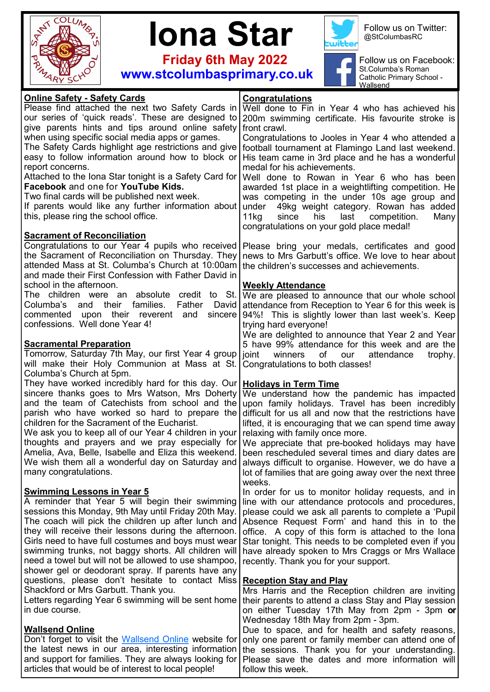



 **Friday 6th May 2022**



Follow us on Twitter: @StColumbasRC



Follow us on Facebook: St.Columba's Roman Catholic Primary School - Wallsend

| <b>Online Safety - Safety Cards</b>                                                                          | <b>Congratulations</b>                                                                                           |
|--------------------------------------------------------------------------------------------------------------|------------------------------------------------------------------------------------------------------------------|
| Please find attached the next two Safety Cards in                                                            | Well done to Fin in Year 4 who has achieved his                                                                  |
| our series of 'quick reads'. These are designed to                                                           | 200m swimming certificate. His favourite stroke is                                                               |
| give parents hints and tips around online safety                                                             | front crawl.                                                                                                     |
| when using specific social media apps or games.                                                              | Congratulations to Jooles in Year 4 who attended a                                                               |
| The Safety Cards highlight age restrictions and give                                                         | football tournament at Flamingo Land last weekend.                                                               |
| easy to follow information around how to block or                                                            | His team came in 3rd place and he has a wonderful                                                                |
| report concerns.                                                                                             | medal for his achievements.                                                                                      |
| Attached to the Iona Star tonight is a Safety Card for<br>Facebook and one for YouTube Kids.                 | Well done to Rowan in Year 6 who has been                                                                        |
| Two final cards will be published next week.                                                                 | awarded 1st place in a weightlifting competition. He<br>was competing in the under 10s age group and             |
| If parents would like any further information about                                                          | under<br>49kg weight category. Rowan has added                                                                   |
| this, please ring the school office.                                                                         | 11kg<br>his<br>last<br>competition.<br>since<br>Many                                                             |
|                                                                                                              | congratulations on your gold place medal!                                                                        |
| <b>Sacrament of Reconciliation</b>                                                                           |                                                                                                                  |
|                                                                                                              | Congratulations to our Year 4 pupils who received   Please bring your medals, certificates and good              |
| the Sacrament of Reconciliation on Thursday. They                                                            | news to Mrs Garbutt's office. We love to hear about                                                              |
| attended Mass at St. Columba's Church at 10:00am                                                             | the children's successes and achievements.                                                                       |
| and made their First Confession with Father David in                                                         |                                                                                                                  |
| school in the afternoon.                                                                                     | <b>Weekly Attendance</b>                                                                                         |
| The children were an absolute credit to St.<br>their families.<br>Father                                     | We are pleased to announce that our whole school                                                                 |
| Columba's<br>and<br>David<br>upon their reverent and<br>commented<br>sincere                                 | attendance from Reception to Year 6 for this week is<br>[94%! This is slightly lower than last week's. Keep      |
| confessions. Well done Year 4!                                                                               | trying hard everyone!                                                                                            |
|                                                                                                              | We are delighted to announce that Year 2 and Year                                                                |
| <b>Sacramental Preparation</b>                                                                               | 5 have 99% attendance for this week and are the                                                                  |
| Tomorrow, Saturday 7th May, our first Year 4 group   joint                                                   | winners<br>of<br>our<br>attendance<br>trophy.                                                                    |
| will make their Holy Communion at Mass at St.                                                                | Congratulations to both classes!                                                                                 |
| Columba's Church at 5pm.                                                                                     |                                                                                                                  |
| They have worked incredibly hard for this day. Our   Holidays in Term Time                                   |                                                                                                                  |
| sincere thanks goes to Mrs Watson, Mrs Doherty                                                               | We understand how the pandemic has impacted                                                                      |
| and the team of Catechists from school and the                                                               | upon family holidays. Travel has been incredibly                                                                 |
| parish who have worked so hard to prepare the<br>children for the Sacrament of the Eucharist.                | difficult for us all and now that the restrictions have<br>lifted, it is encouraging that we can spend time away |
| We ask you to keep all of our Year 4 children in your                                                        | relaxing with family once more.                                                                                  |
|                                                                                                              | thoughts and prayers and we pray especially for We appreciate that pre-booked holidays may have                  |
| Amelia, Ava, Belle, Isabelle and Eliza this weekend.                                                         | been rescheduled several times and diary dates are                                                               |
| We wish them all a wonderful day on Saturday and                                                             | always difficult to organise. However, we do have a                                                              |
| many congratulations.                                                                                        | lot of families that are going away over the next three                                                          |
|                                                                                                              | weeks.                                                                                                           |
| <b>Swimming Lessons in Year 5</b>                                                                            | In order for us to monitor holiday requests, and in                                                              |
| A reminder that Year 5 will begin their swimming                                                             | line with our attendance protocols and procedures,                                                               |
| sessions this Monday, 9th May until Friday 20th May.                                                         | please could we ask all parents to complete a 'Pupil                                                             |
| The coach will pick the children up after lunch and<br>they will receive their lessons during the afternoon. | Absence Request Form' and hand this in to the<br>office. A copy of this form is attached to the lona             |
| Girls need to have full costumes and boys must wear                                                          | Star tonight. This needs to be completed even if you                                                             |
| swimming trunks, not baggy shorts. All children will                                                         | have already spoken to Mrs Craggs or Mrs Wallace                                                                 |
| need a towel but will not be allowed to use shampoo,                                                         | recently. Thank you for your support.                                                                            |
| shower gel or deodorant spray. If parents have any                                                           |                                                                                                                  |
| questions, please don't hesitate to contact Miss   Reception Stay and Play                                   |                                                                                                                  |
| Shackford or Mrs Garbutt. Thank you.                                                                         | Mrs Harris and the Reception children are inviting                                                               |
| Letters regarding Year 6 swimming will be sent home                                                          | their parents to attend a class Stay and Play session                                                            |
| in due course.                                                                                               | on either Tuesday 17th May from 2pm - 3pm or                                                                     |
|                                                                                                              | Wednesday 18th May from 2pm - 3pm.                                                                               |
| <b>Wallsend Online</b><br>Don't forget to visit the Wallsend Online website for                              | Due to space, and for health and safety reasons,                                                                 |
| the latest news in our area, interesting information                                                         | only one parent or family member can attend one of                                                               |
| and support for families. They are always looking for                                                        | the sessions. Thank you for your understanding.<br>Please save the dates and more information will               |
| articles that would be of interest to local people!                                                          | follow this week.                                                                                                |